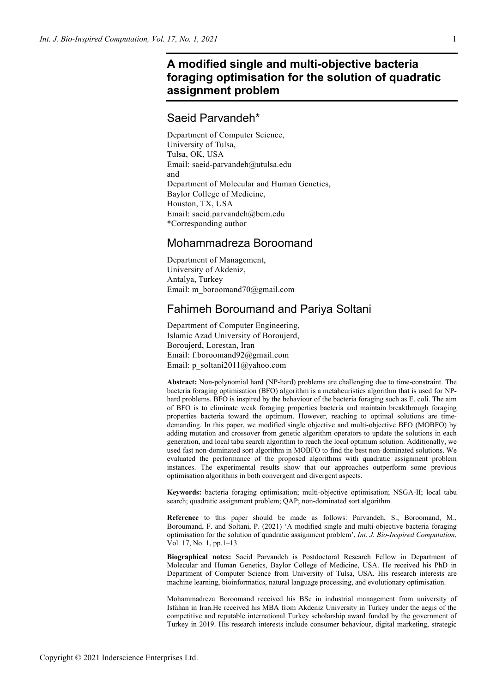# **A modified single and multi-objective bacteria foraging optimisation for the solution of quadratic assignment problem**

## Saeid Parvandeh\*

Department of Computer Science, University of Tulsa, Tulsa, OK, USA Email: saeid-parvandeh@utulsa.edu and Department of Molecular and Human Genetics, Baylor College of Medicine, Houston, TX, USA Email: saeid.parvandeh@bcm.edu \*Corresponding author

## Mohammadreza Boroomand

Department of Management, University of Akdeniz, Antalya, Turkey Email: m\_boroomand70@gmail.com

## Fahimeh Boroumand and Pariya Soltani

Department of Computer Engineering, Islamic Azad University of Boroujerd, Boroujerd, Lorestan, Iran Email: f.boroomand92@gmail.com Email: p\_soltani2011@yahoo.com

**Abstract:** Non-polynomial hard (NP-hard) problems are challenging due to time-constraint. The bacteria foraging optimisation (BFO) algorithm is a metaheuristics algorithm that is used for NPhard problems. BFO is inspired by the behaviour of the bacteria foraging such as E. coli. The aim of BFO is to eliminate weak foraging properties bacteria and maintain breakthrough foraging properties bacteria toward the optimum. However, reaching to optimal solutions are timedemanding. In this paper, we modified single objective and multi-objective BFO (MOBFO) by adding mutation and crossover from genetic algorithm operators to update the solutions in each generation, and local tabu search algorithm to reach the local optimum solution. Additionally, we used fast non-dominated sort algorithm in MOBFO to find the best non-dominated solutions. We evaluated the performance of the proposed algorithms with quadratic assignment problem instances. The experimental results show that our approaches outperform some previous optimisation algorithms in both convergent and divergent aspects.

**Keywords:** bacteria foraging optimisation; multi-objective optimisation; NSGA-II; local tabu search; quadratic assignment problem; QAP; non-dominated sort algorithm.

**Reference** to this paper should be made as follows: Parvandeh, S., Boroomand, M., Boroumand, F. and Soltani, P. (2021) 'A modified single and multi-objective bacteria foraging optimisation for the solution of quadratic assignment problem', *Int. J. Bio-Inspired Computation*, Vol. 17, No. 1, pp.1–13.

**Biographical notes:** Saeid Parvandeh is Postdoctoral Research Fellow in Department of Molecular and Human Genetics, Baylor College of Medicine, USA. He received his PhD in Department of Computer Science from University of Tulsa, USA. His research interests are machine learning, bioinformatics, natural language processing, and evolutionary optimisation.

Mohammadreza Boroomand received his BSc in industrial management from university of Isfahan in Iran.He received his MBA from Akdeniz University in Turkey under the aegis of the competitive and reputable international Turkey scholarship award funded by the government of Turkey in 2019. His research interests include consumer behaviour, digital marketing, strategic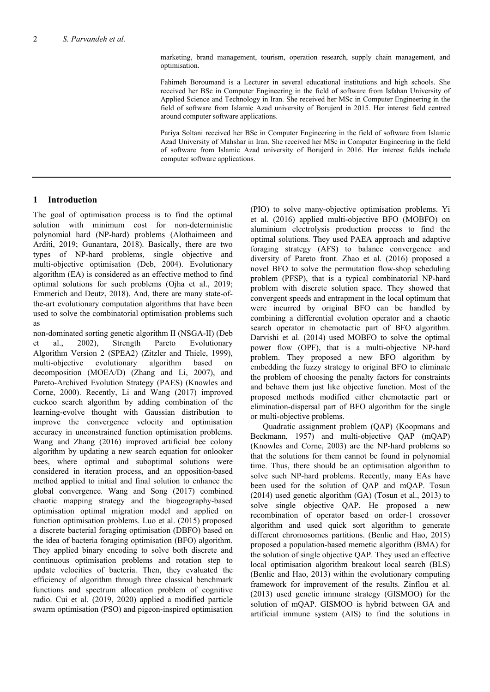marketing, brand management, tourism, operation research, supply chain management, and optimisation.

Fahimeh Boroumand is a Lecturer in several educational institutions and high schools. She received her BSc in Computer Engineering in the field of software from Isfahan University of Applied Science and Technology in Iran. She received her MSc in Computer Engineering in the field of software from Islamic Azad university of Borujerd in 2015. Her interest field centred around computer software applications.

Pariya Soltani received her BSc in Computer Engineering in the field of software from Islamic Azad University of Mahshar in Iran. She received her MSc in Computer Engineering in the field of software from Islamic Azad university of Borujerd in 2016. Her interest fields include computer software applications.

## **1 Introduction**

The goal of optimisation process is to find the optimal solution with minimum cost for non-deterministic polynomial hard (NP-hard) problems (Alothaimeen and Arditi, 2019; Gunantara, 2018). Basically, there are two types of NP-hard problems, single objective and multi-objective optimisation (Deb, 2004). Evolutionary algorithm (EA) is considered as an effective method to find optimal solutions for such problems (Ojha et al., 2019; Emmerich and Deutz, 2018). And, there are many state-ofthe-art evolutionary computation algorithms that have been used to solve the combinatorial optimisation problems such as

non-dominated sorting genetic algorithm II (NSGA-II) (Deb et al., 2002), Strength Pareto Evolutionary Algorithm Version 2 (SPEA2) (Zitzler and Thiele, 1999), multi-objective evolutionary algorithm based on decomposition (MOEA/D) (Zhang and Li, 2007), and Pareto-Archived Evolution Strategy (PAES) (Knowles and Corne, 2000). Recently, Li and Wang (2017) improved cuckoo search algorithm by adding combination of the learning-evolve thought with Gaussian distribution to improve the convergence velocity and optimisation accuracy in unconstrained function optimisation problems. Wang and Zhang (2016) improved artificial bee colony algorithm by updating a new search equation for onlooker bees, where optimal and suboptimal solutions were considered in iteration process, and an opposition-based method applied to initial and final solution to enhance the global convergence. Wang and Song (2017) combined chaotic mapping strategy and the biogeography-based optimisation optimal migration model and applied on function optimisation problems. Luo et al. (2015) proposed a discrete bacterial foraging optimisation (DBFO) based on the idea of bacteria foraging optimisation (BFO) algorithm. They applied binary encoding to solve both discrete and continuous optimisation problems and rotation step to update velocities of bacteria. Then, they evaluated the efficiency of algorithm through three classical benchmark functions and spectrum allocation problem of cognitive radio. Cui et al. (2019, 2020) applied a modified particle swarm optimisation (PSO) and pigeon-inspired optimisation (PIO) to solve many-objective optimisation problems. Yi et al. (2016) applied multi-objective BFO (MOBFO) on aluminium electrolysis production process to find the optimal solutions. They used PAEA approach and adaptive foraging strategy (AFS) to balance convergence and diversity of Pareto front. Zhao et al. (2016) proposed a novel BFO to solve the permutation flow-shop scheduling problem (PFSP), that is a typical combinatorial NP-hard problem with discrete solution space. They showed that convergent speeds and entrapment in the local optimum that were incurred by original BFO can be handled by combining a differential evolution operator and a chaotic search operator in chemotactic part of BFO algorithm. Darvishi et al. (2014) used MOBFO to solve the optimal power flow (OPF), that is a multi-objective NP-hard problem. They proposed a new BFO algorithm by embedding the fuzzy strategy to original BFO to eliminate the problem of choosing the penalty factors for constraints and behave them just like objective function. Most of the proposed methods modified either chemotactic part or elimination-dispersal part of BFO algorithm for the single or multi-objective problems.

Quadratic assignment problem (QAP) (Koopmans and Beckmann, 1957) and multi-objective QAP (mQAP) (Knowles and Corne, 2003) are the NP-hard problems so that the solutions for them cannot be found in polynomial time. Thus, there should be an optimisation algorithm to solve such NP-hard problems. Recently, many EAs have been used for the solution of QAP and mQAP. Tosun (2014) used genetic algorithm (GA) (Tosun et al., 2013) to solve single objective QAP. He proposed a new recombination of operator based on order-1 crossover algorithm and used quick sort algorithm to generate different chromosomes partitions. (Benlic and Hao, 2015) proposed a population-based memetic algorithm (BMA) for the solution of single objective QAP. They used an effective local optimisation algorithm breakout local search (BLS) (Benlic and Hao, 2013) within the evolutionary computing framework for improvement of the results. Zinflou et al. (2013) used genetic immune strategy (GISMOO) for the solution of mQAP. GISMOO is hybrid between GA and artificial immune system (AIS) to find the solutions in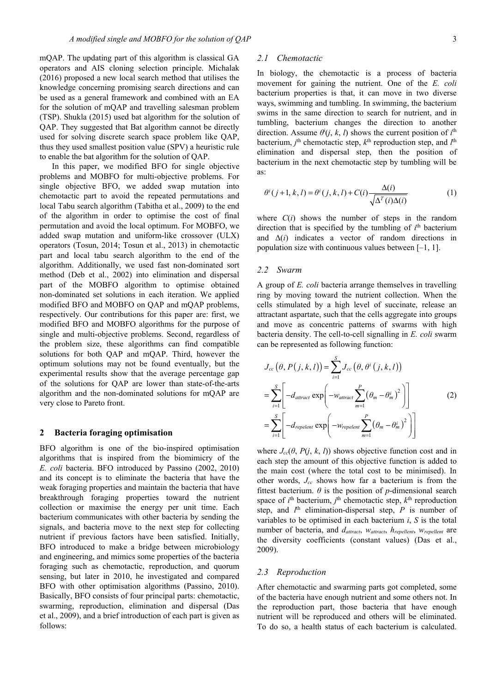mQAP. The updating part of this algorithm is classical GA operators and AIS cloning selection principle. Michalak (2016) proposed a new local search method that utilises the knowledge concerning promising search directions and can be used as a general framework and combined with an EA for the solution of mQAP and travelling salesman problem (TSP). Shukla (2015) used bat algorithm for the solution of QAP. They suggested that Bat algorithm cannot be directly used for solving discrete search space problem like QAP, thus they used smallest position value (SPV) a heuristic rule to enable the bat algorithm for the solution of QAP.

In this paper, we modified BFO for single objective problems and MOBFO for multi-objective problems. For single objective BFO, we added swap mutation into chemotactic part to avoid the repeated permutations and local Tabu search algorithm (Tabitha et al., 2009) to the end of the algorithm in order to optimise the cost of final permutation and avoid the local optimum. For MOBFO, we added swap mutation and uniform-like crossover (ULX) operators (Tosun, 2014; Tosun et al., 2013) in chemotactic part and local tabu search algorithm to the end of the algorithm. Additionally, we used fast non-dominated sort method (Deb et al., 2002) into elimination and dispersal part of the MOBFO algorithm to optimise obtained non-dominated set solutions in each iteration. We applied modified BFO and MOBFO on QAP and mQAP problems, respectively. Our contributions for this paper are: first, we modified BFO and MOBFO algorithms for the purpose of single and multi-objective problems. Second, regardless of the problem size, these algorithms can find compatible solutions for both QAP and mQAP. Third, however the optimum solutions may not be found eventually, but the experimental results show that the average percentage gap of the solutions for QAP are lower than state-of-the-arts algorithm and the non-dominated solutions for mQAP are very close to Pareto front.

#### **2 Bacteria foraging optimisation**

BFO algorithm is one of the bio-inspired optimisation algorithms that is inspired from the biomimicry of the *E. coli* bacteria. BFO introduced by Passino (2002, 2010) and its concept is to eliminate the bacteria that have the weak foraging properties and maintain the bacteria that have breakthrough foraging properties toward the nutrient collection or maximise the energy per unit time. Each bacterium communicates with other bacteria by sending the signals, and bacteria move to the next step for collecting nutrient if previous factors have been satisfied. Initially, BFO introduced to make a bridge between microbiology and engineering, and mimics some properties of the bacteria foraging such as chemotactic, reproduction, and quorum sensing, but later in 2010, he investigated and compared BFO with other optimisation algorithms (Passino, 2010). Basically, BFO consists of four principal parts: chemotactic, swarming, reproduction, elimination and dispersal (Das et al., 2009), and a brief introduction of each part is given as follows:

### *2.1 Chemotactic*

In biology, the chemotactic is a process of bacteria movement for gaining the nutrient. One of the *E. coli* bacterium properties is that, it can move in two diverse ways, swimming and tumbling. In swimming, the bacterium swims in the same direction to search for nutrient, and in tumbling, bacterium changes the direction to another direction. Assume  $\theta^{i}(j, k, l)$  shows the current position of  $i^{\text{th}}$ bacterium,  $j^{\text{th}}$  chemotactic step,  $k^{\text{th}}$  reproduction step, and  $l^{\text{th}}$ elimination and dispersal step, then the position of bacterium in the next chemotactic step by tumbling will be as:

$$
\theta^{i}(j+1,k,l) = \theta^{i}(j,k,l) + C(i) \frac{\Delta(i)}{\sqrt{\Delta^{T}(i)\Delta(i)}}
$$
(1)

where  $C(i)$  shows the number of steps in the random direction that is specified by the tumbling of  $i<sup>th</sup>$  bacterium and Δ(*i*) indicates a vector of random directions in population size with continuous values between [–1, 1].

#### *2.2 Swarm*

A group of *E. coli* bacteria arrange themselves in travelling ring by moving toward the nutrient collection. When the cells stimulated by a high level of succinate, release an attractant aspartate, such that the cells aggregate into groups and move as concentric patterns of swarms with high bacteria density. The cell-to-cell signalling in *E. coli* swarm can be represented as following function:

$$
J_{cc}(\theta, P(j, k, l)) = \sum_{i=1}^{S} J_{cc}(\theta, \theta^{i} (j, k, l))
$$
  
= 
$$
\sum_{i=1}^{S} \left[ -d_{attract} \exp\left( -w_{attract} \sum_{m=1}^{P} (\theta_{m} - \theta_{m}^{i})^{2} \right) \right]
$$
  
= 
$$
\sum_{i=1}^{S} \left[ -d_{repe lent} \exp\left( -w_{repe lent} \sum_{m=1}^{P} (\theta_{m} - \theta_{m}^{i})^{2} \right) \right]
$$
 (2)

where  $J_{cc}(\theta, P(j, k, l))$  shows objective function cost and in each step the amount of this objective function is added to the main cost (where the total cost to be minimised). In other words, *Jcc* shows how far a bacterium is from the fittest bacterium.  $\theta$  is the position of *p*-dimensional search space of  $i^{\text{th}}$  bacterium,  $j^{\text{th}}$  chemotactic step,  $k^{\text{th}}$  reproduction step, and  $l^{\text{th}}$  elimination-dispersal step,  $P$  is number of variables to be optimised in each bacterium *i*, *S* is the total number of bacteria, and *dattract*, *wattract*, *hrepellent*, *wrepellent* are the diversity coefficients (constant values) (Das et al., 2009).

#### *2.3 Reproduction*

After chemotactic and swarming parts got completed, some of the bacteria have enough nutrient and some others not. In the reproduction part, those bacteria that have enough nutrient will be reproduced and others will be eliminated. To do so, a health status of each bacterium is calculated.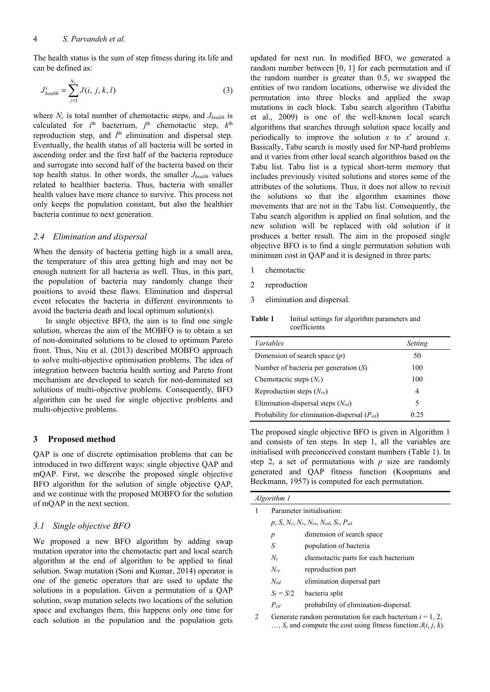The health status is the sum of step fitness during its life and can be defined as:

$$
J_{\text{health}}^i = \sum_{j=1}^{N_c} J(i, j, k, l)
$$
 (3)

where  $N_c$  is total number of chemotactic steps, and  $J_{\text{health}}$  is calculated for *i*<sup>th</sup> bacterium, *j*<sup>th</sup> chemotactic step, *k*<sup>th</sup> reproduction step, and l<sup>th</sup> elimination and dispersal step. Eventually, the health status of all bacteria will be sorted in ascending order and the first half of the bacteria reproduce and surrogate into second half of the bacteria based on their top health status. In other words, the smaller *Jhealth* values related to healthier bacteria. Thus, bacteria with smaller health values have more chance to survive. This process not only keeps the population constant, but also the healthier bacteria continue to next generation.

#### *2.4 Elimination and dispersal*

When the density of bacteria getting high in a small area, the temperature of this area getting high and may not be enough nutrient for all bacteria as well. Thus, in this part, the population of bacteria may randomly change their positions to avoid these flaws. Elimination and dispersal event relocates the bacteria in different environments to avoid the bacteria death and local optimum solution(s).

In single objective BFO, the aim is to find one single solution, whereas the aim of the MOBFO is to obtain a set of non-dominated solutions to be closed to optimum Pareto front. Thus, Niu et al. (2013) described MOBFO approach to solve multi-objective optimisation problems. The idea of integration between bacteria health sorting and Pareto front mechanism are developed to search for non-dominated set solutions of multi-objective problems. Consequently, BFO algorithm can be used for single objective problems and multi-objective problems.

## **3 Proposed method**

QAP is one of discrete optimisation problems that can be introduced in two different ways: single objective QAP and mQAP. First, we describe the proposed single objective BFO algorithm for the solution of single objective QAP, and we continue with the proposed MOBFO for the solution of mQAP in the next section.

### *3.1 Single objective BFO*

We proposed a new BFO algorithm by adding swap mutation operator into the chemotactic part and local search algorithm at the end of algorithm to be applied to final solution. Swap mutation (Soni and Kumar, 2014) operator is one of the genetic operators that are used to update the solutions in a population. Given a permutation of a QAP solution, swap mutation selects two locations of the solution space and exchanges them, this happens only one time for each solution in the population and the population gets

updated for next run. In modified BFO, we generated a random number between [0, 1] for each permutation and if the random number is greater than 0.5, we swapped the entities of two random locations, otherwise we divided the permutation into three blocks and applied the swap mutations in each block. Tabu search algorithm (Tabitha et al., 2009) is one of the well-known local search algorithms that searches through solution space locally and periodically to improve the solution *x* to *x*′ around *x*. Basically, Tabu search is mostly used for NP-hard problems and it varies from other local search algorithms based on the Tabu list. Tabu list is a typical short-term memory that includes previously visited solutions and stores some of the attributes of the solutions. Thus, it does not allow to revisit the solutions so that the algorithm examines those movements that are not in the Tabu list. Consequently, the Tabu search algorithm is applied on final solution, and the new solution will be replaced with old solution if it produces a better result. The aim in the proposed single objective BFO is to find a single permutation solution with minimum cost in QAP and it is designed in three parts:

- 1 chemotactic
- 2 reproduction

Ĭ.

3 elimination and dispersal.

**Table 1** Initial settings for algorithm parameters and coefficients

| <i>Variables</i>                                 | Setting |  |
|--------------------------------------------------|---------|--|
| Dimension of search space $(p)$                  | 50      |  |
| Number of bacteria per generation $(S)$          | 100     |  |
| Chemotactic steps $(N_c)$                        | 100     |  |
| Reproduction steps $(N_{re})$                    | 4       |  |
| Elimination-dispersal steps $(N_{ed})$           | 5       |  |
| Probability for elimination-dispersal $(P_{ed})$ | 0.25    |  |

The proposed single objective BFO is given in Algorithm 1 and consists of ten steps. In step 1, all the variables are initialised with preconceived constant numbers (Table 1). In step 2, a set of permutations with *p* size are randomly generated and QAP fitness function (Koopmans and Beckmann, 1957) is computed for each permutation.

| Algorithm 1 |                           |                                                                                                                               |  |  |  |  |  |
|-------------|---------------------------|-------------------------------------------------------------------------------------------------------------------------------|--|--|--|--|--|
| 1           | Parameter initialisation: |                                                                                                                               |  |  |  |  |  |
|             |                           | $p, S, N_c, N_s, N_{re}, N_{ed}, S_r, P_{ed}$                                                                                 |  |  |  |  |  |
|             | p                         | dimension of search space                                                                                                     |  |  |  |  |  |
|             | S                         | population of bacteria                                                                                                        |  |  |  |  |  |
|             | $N_c$                     | chemotactic parts for each bacterium                                                                                          |  |  |  |  |  |
|             | $N_{re}$                  | reproduction part                                                                                                             |  |  |  |  |  |
|             | $N_{ed}$                  | elimination dispersal part                                                                                                    |  |  |  |  |  |
|             |                           | $S_r = S/2$ bacteria split                                                                                                    |  |  |  |  |  |
|             | $P_{ed}$                  | probability of elimination-dispersal.                                                                                         |  |  |  |  |  |
| 2           |                           | Generate random permutation for each bacterium $i = 1, 2,$<br>, S, and compute the cost using fitness function $J(i, j, k)$ . |  |  |  |  |  |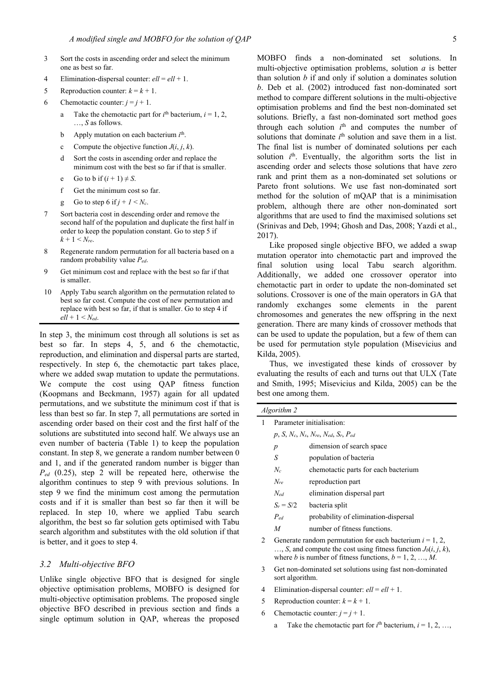- 3 Sort the costs in ascending order and select the minimum one as best so far.
- 4 Elimination-dispersal counter:  $ell = ell + 1$ .
- 5 Reproduction counter:  $k = k + 1$ .
- 6 Chemotactic counter:  $j = j + 1$ .
- a Take the chemotactic part for  $i<sup>th</sup>$  bacterium,  $i = 1, 2,$ …, *S* as follows.
- b Apply mutation on each bacterium *i*<sup>th</sup>.
	- c Compute the objective function  $J(i, j, k)$ .
	- d Sort the costs in ascending order and replace the minimum cost with the best so far if that is smaller.
	- e Go to b if  $(i + 1) \neq S$ .
	- f Get the minimum cost so far.
	- g Go to step 6 if  $j + 1 \le N_c$ .
- 7 Sort bacteria cost in descending order and remove the second half of the population and duplicate the first half in order to keep the population constant. Go to step 5 if  $k + 1 \le N_{re}$
- 8 Regenerate random permutation for all bacteria based on a random probability value *Ped*.
- 9 Get minimum cost and replace with the best so far if that is smaller.
- 10 Apply Tabu search algorithm on the permutation related to best so far cost. Compute the cost of new permutation and replace with best so far, if that is smaller. Go to step 4 if *ell* + 1 < *Ned*.

In step 3, the minimum cost through all solutions is set as best so far. In steps 4, 5, and 6 the chemotactic, reproduction, and elimination and dispersal parts are started, respectively. In step 6, the chemotactic part takes place, where we added swap mutation to update the permutations. We compute the cost using QAP fitness function (Koopmans and Beckmann, 1957) again for all updated permutations, and we substitute the minimum cost if that is less than best so far. In step 7, all permutations are sorted in ascending order based on their cost and the first half of the solutions are substituted into second half. We always use an even number of bacteria (Table 1) to keep the population constant. In step 8, we generate a random number between 0 and 1, and if the generated random number is bigger than *Ped* (0.25), step 2 will be repeated here, otherwise the algorithm continues to step 9 with previous solutions. In step 9 we find the minimum cost among the permutation costs and if it is smaller than best so far then it will be replaced. In step 10, where we applied Tabu search algorithm, the best so far solution gets optimised with Tabu search algorithm and substitutes with the old solution if that is better, and it goes to step 4.

#### *3.2 Multi-objective BFO*

Unlike single objective BFO that is designed for single objective optimisation problems, MOBFO is designed for multi-objective optimisation problems. The proposed single objective BFO described in previous section and finds a single optimum solution in QAP, whereas the proposed MOBFO finds a non-dominated set solutions. In multi-objective optimisation problems, solution *a* is better than solution *b* if and only if solution a dominates solution *b*. Deb et al. (2002) introduced fast non-dominated sort method to compare different solutions in the multi-objective optimisation problems and find the best non-dominated set solutions. Briefly, a fast non-dominated sort method goes through each solution  $i<sup>th</sup>$  and computes the number of solutions that dominate  $i<sup>th</sup>$  solution and save them in a list. The final list is number of dominated solutions per each solution  $i<sup>th</sup>$ . Eventually, the algorithm sorts the list in ascending order and selects those solutions that have zero rank and print them as a non-dominated set solutions or Pareto front solutions. We use fast non-dominated sort method for the solution of mQAP that is a minimisation problem, although there are other non-dominated sort algorithms that are used to find the maximised solutions set (Srinivas and Deb, 1994; Ghosh and Das, 2008; Yazdi et al., 2017).

Like proposed single objective BFO, we added a swap mutation operator into chemotactic part and improved the final solution using local Tabu search algorithm. Additionally, we added one crossover operator into chemotactic part in order to update the non-dominated set solutions. Crossover is one of the main operators in GA that randomly exchanges some elements in the parent chromosomes and generates the new offspring in the next generation. There are many kinds of crossover methods that can be used to update the population, but a few of them can be used for permutation style population (Misevicius and Kilda, 2005).

Thus, we investigated these kinds of crossover by evaluating the results of each and turns out that ULX (Tate and Smith, 1995; Misevicius and Kilda, 2005) can be the best one among them.

|   | Algorithm 2                                                                                                                                                                                         |                                                          |  |  |  |  |  |
|---|-----------------------------------------------------------------------------------------------------------------------------------------------------------------------------------------------------|----------------------------------------------------------|--|--|--|--|--|
| 1 | Parameter initialisation:                                                                                                                                                                           |                                                          |  |  |  |  |  |
|   |                                                                                                                                                                                                     | $p, S, N_c, N_s, N_{re}, N_{ed}, S_r, P_{ed}$            |  |  |  |  |  |
|   | $\boldsymbol{p}$                                                                                                                                                                                    | dimension of search space                                |  |  |  |  |  |
|   | S                                                                                                                                                                                                   | population of bacteria                                   |  |  |  |  |  |
|   | $N_c$                                                                                                                                                                                               | chemotactic parts for each bacterium                     |  |  |  |  |  |
|   | reproduction part<br>Nre                                                                                                                                                                            |                                                          |  |  |  |  |  |
|   | $N_{ed}$<br>elimination dispersal part                                                                                                                                                              |                                                          |  |  |  |  |  |
|   | $S_r = S/2$                                                                                                                                                                                         | bacteria split                                           |  |  |  |  |  |
|   | $P_{ed}$                                                                                                                                                                                            | probability of elimination-dispersal                     |  |  |  |  |  |
|   | M                                                                                                                                                                                                   | number of fitness functions.                             |  |  |  |  |  |
| 2 | Generate random permutation for each bacterium $i = 1, 2,$<br>, S, and compute the cost using fitness function $J_b(i, j, k)$ ,<br>where <i>b</i> is number of fitness functions, $b = 1, 2, , M$ . |                                                          |  |  |  |  |  |
| 3 | sort algorithm.                                                                                                                                                                                     | Get non-dominated set solutions using fast non-dominated |  |  |  |  |  |
|   |                                                                                                                                                                                                     |                                                          |  |  |  |  |  |

- 4 Elimination-dispersal counter:  $ell = ell + 1$ .
- 5 Reproduction counter:  $k = k + 1$ .
- 6 Chemotactic counter:  $j = j + 1$ .
- a Take the chemotactic part for  $i^{\text{th}}$  bacterium,  $i = 1, 2, ...,$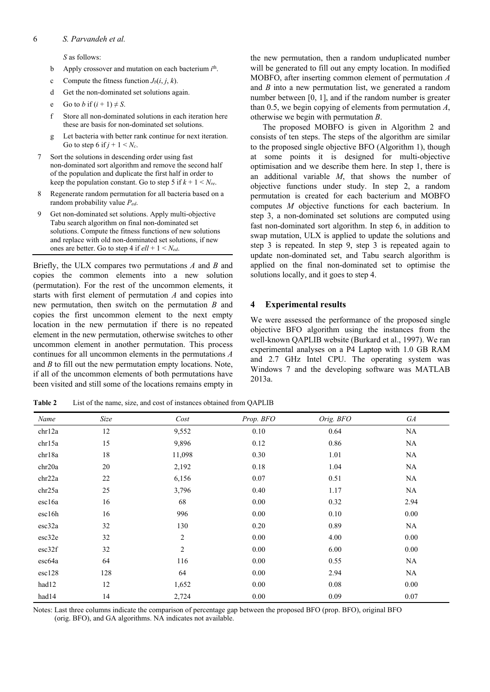#### 6 *S. Parvandeh et al.*

*S* as follows:

- b Apply crossover and mutation on each bacterium *i*<sup>th</sup>.
	- c Compute the fitness function  $J_b(i, j, k)$ .
	- d Get the non-dominated set solutions again.
	- e Go to *b* if  $(i + 1) \neq S$ .
	- f Store all non-dominated solutions in each iteration here these are basis for non-dominated set solutions.
	- g Let bacteria with better rank continue for next iteration. Go to step 6 if  $j + 1 \leq N_c$ .
- 7 Sort the solutions in descending order using fast non-dominated sort algorithm and remove the second half of the population and duplicate the first half in order to keep the population constant. Go to step 5 if  $k + 1 \le N_{re}$ .
- 8 Regenerate random permutation for all bacteria based on a random probability value *Ped*.
- 9 Get non-dominated set solutions. Apply multi-objective Tabu search algorithm on final non-dominated set solutions. Compute the fitness functions of new solutions and replace with old non-dominated set solutions, if new ones are better. Go to step  $4$  if  $ell + 1 \leq N_{ed}$ .

Briefly, the ULX compares two permutations *A* and *B* and copies the common elements into a new solution (permutation). For the rest of the uncommon elements, it starts with first element of permutation *A* and copies into new permutation, then switch on the permutation *B* and copies the first uncommon element to the next empty location in the new permutation if there is no repeated element in the new permutation, otherwise switches to other uncommon element in another permutation. This process continues for all uncommon elements in the permutations *A* and *B* to fill out the new permutation empty locations. Note, if all of the uncommon elements of both permutations have been visited and still some of the locations remains empty in

the new permutation, then a random unduplicated number will be generated to fill out any empty location. In modified MOBFO, after inserting common element of permutation *A* and *B* into a new permutation list, we generated a random number between [0, 1], and if the random number is greater than 0.5, we begin copying of elements from permutation *A*, otherwise we begin with permutation *B*.

The proposed MOBFO is given in Algorithm 2 and consists of ten steps. The steps of the algorithm are similar to the proposed single objective BFO (Algorithm 1), though at some points it is designed for multi-objective optimisation and we describe them here. In step 1, there is an additional variable *M*, that shows the number of objective functions under study. In step 2, a random permutation is created for each bacterium and MOBFO computes *M* objective functions for each bacterium. In step 3, a non-dominated set solutions are computed using fast non-dominated sort algorithm. In step 6, in addition to swap mutation, ULX is applied to update the solutions and step 3 is repeated. In step 9, step 3 is repeated again to update non-dominated set, and Tabu search algorithm is applied on the final non-dominated set to optimise the solutions locally, and it goes to step 4.

### **4 Experimental results**

We were assessed the performance of the proposed single objective BFO algorithm using the instances from the well-known QAPLIB website (Burkard et al., 1997). We ran experimental analyses on a P4 Laptop with 1.0 GB RAM and 2.7 GHz Intel CPU. The operating system was Windows 7 and the developing software was MATLAB 2013a.

**Table 2** List of the name, size, and cost of instances obtained from QAPLIB

| Name   | Size | Cost           | Prop. BFO | Orig. BFO | ${\it GA}$ |
|--------|------|----------------|-----------|-----------|------------|
| chr12a | 12   | 9,552          | 0.10      | 0.64      | NA         |
| chr15a | 15   | 9,896          | 0.12      | 0.86      | NA         |
| chr18a | 18   | 11,098         | 0.30      | 1.01      | NA         |
| chr20a | 20   | 2,192          | 0.18      | 1.04      | <b>NA</b>  |
| chr22a | 22   | 6,156          | 0.07      | 0.51      | <b>NA</b>  |
| chr25a | 25   | 3,796          | 0.40      | 1.17      | NA         |
| esc16a | 16   | 68             | $0.00\,$  | 0.32      | 2.94       |
| esc16h | 16   | 996            | $0.00\,$  | 0.10      | 0.00       |
| esc32a | 32   | 130            | 0.20      | 0.89      | NA         |
| esc32e | 32   | $\mathbf{2}$   | $0.00\,$  | 4.00      | 0.00       |
| esc32f | 32   | $\mathfrak{2}$ | 0.00      | 6.00      | 0.00       |
| esc64a | 64   | 116            | 0.00      | 0.55      | NA         |
| esc128 | 128  | 64             | 0.00      | 2.94      | NA         |
| had12  | 12   | 1,652          | $0.00\,$  | 0.08      | 0.00       |
| had14  | 14   | 2,724          | 0.00      | 0.09      | 0.07       |

Notes: Last three columns indicate the comparison of percentage gap between the proposed BFO (prop. BFO), original BFO (orig. BFO), and GA algorithms. NA indicates not available.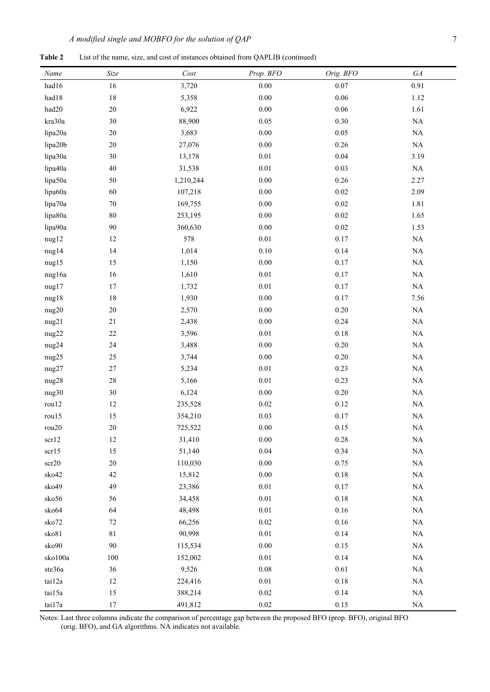**Table 2** List of the name, size, and cost of instances obtained from QAPLIB (continued)

| Name    | $\it Size$  | Cost      | Prop. BFO | Orig. BFO | ${\cal G} A$ |
|---------|-------------|-----------|-----------|-----------|--------------|
| had16   | 16          | 3,720     | $0.00\,$  | $0.07\,$  | 0.91         |
| had18   | $18\,$      | 5,358     | $0.00\,$  | $0.06\,$  | 1.12         |
| had20   | $20\,$      | 6,922     | $0.00\,$  | $0.06\,$  | 1.61         |
| kra30a  | 30          | 88,900    | $0.05\,$  | $0.30\,$  | $\rm NA$     |
| lipa20a | $20\,$      | 3,683     | $0.00\,$  | $0.05\,$  | $\rm NA$     |
| lipa20b | $20\,$      | 27,076    | $0.00\,$  | $0.26\,$  | $\rm NA$     |
| lipa30a | 30          | 13,178    | $0.01\,$  | $0.04\,$  | 3.19         |
| lipa40a | $40\,$      | 31,538    | $0.01\,$  | 0.03      | $\rm NA$     |
| lipa50a | 50          | 1,210,244 | $0.00\,$  | $0.26\,$  | 2.27         |
| lipa60a | 60          | 107,218   | $0.00\,$  | $0.02\,$  | 2.09         |
| lipa70a | $70\,$      | 169,755   | $0.00\,$  | $0.02\,$  | 1.81         |
| lipa80a | $80\,$      | 253,195   | $0.00\,$  | $0.02\,$  | 1.65         |
| lipa90a | 90          | 360,630   | $0.00\,$  | $0.02\,$  | 1.53         |
| nug12   | 12          | 578       | $0.01\,$  | $0.17\,$  | $\rm NA$     |
| nug14   | 14          | 1,014     | $0.10\,$  | 0.14      | $\rm NA$     |
| nug15   | 15          | 1,150     | $0.00\,$  | $0.17\,$  | $\rm NA$     |
| nug16a  | 16          | 1,610     | $0.01\,$  | $0.17\,$  | $\rm NA$     |
| nug17   | $17\,$      | 1,732     | $0.01\,$  | $0.17\,$  | $\rm NA$     |
| nug18   | $18\,$      | 1,930     | $0.00\,$  | 0.17      | 7.56         |
| nug20   | $20\,$      | 2,570     | $0.00\,$  | $0.20\,$  | $\rm NA$     |
| nug21   | 21          | 2,438     | $0.00\,$  | 0.24      | $\rm NA$     |
| nug22   | $22\,$      | 3,596     | $0.01\,$  | $0.18\,$  | $\rm NA$     |
| nug24   | 24          | 3,488     | $0.00\,$  | $0.20\,$  | $\rm NA$     |
| nug25   | 25          | 3,744     | $0.00\,$  | $0.20\,$  | $\rm NA$     |
| nug27   | $27\,$      | 5,234     | $0.01\,$  | 0.23      | $\rm NA$     |
| nug28   | $28\,$      | 5,166     | $0.01\,$  | 0.23      | $\rm NA$     |
| nug30   | $30\,$      | 6,124     | $0.00\,$  | $0.20\,$  | $\rm NA$     |
| rou12   | 12          | 235,528   | $0.02\,$  | $0.12\,$  | $\rm NA$     |
| rou15   | 15          | 354,210   | 0.03      | $0.17\,$  | $\rm NA$     |
| rou20   | $20\,$      | 725,522   | $0.00\,$  | $0.15\,$  | $\rm NA$     |
| scr12   | 12          | 31,410    | $0.00\,$  | 0.28      | $\rm NA$     |
| scr15   | 15          | 51,140    | $0.04\,$  | 0.34      | $\rm NA$     |
| scr20   | $20\,$      | 110,030   | $0.00\,$  | 0.75      | $\rm NA$     |
| sko42   | 42          | 15,812    | $0.00\,$  | $0.18\,$  | $\rm NA$     |
| sko49   | 49          | 23,386    | $0.01\,$  | $0.17\,$  | $\rm NA$     |
| sko56   | 56          | 34,458    | $0.01\,$  | $0.18\,$  | $\rm NA$     |
| sko64   | 64          | 48,498    | $0.01\,$  | $0.16\,$  | $\rm NA$     |
| sko72   | $72\,$      | 66,256    | 0.02      | $0.16\,$  | $\rm NA$     |
| sko81   | $8\sqrt{1}$ | 90,998    | $0.01\,$  | 0.14      | $\rm NA$     |
| sko90   | $90\,$      | 115,534   | $0.00\,$  | $0.15\,$  | $\rm NA$     |
| sko100a | 100         | 152,002   | $0.01\,$  | 0.14      | $\rm NA$     |
| ste36a  | 36          | 9,526     | $0.08\,$  | 0.61      | $\rm NA$     |
| tai12a  | 12          | 224,416   | $0.01\,$  | $0.18\,$  | $\rm NA$     |
| tai15a  | 15          | 388,214   | $0.02\,$  | 0.14      | $\rm NA$     |
| tai17a  | 17          | 491,812   | $0.02\,$  | $0.15\,$  | $\rm NA$     |

Notes: Last three columns indicate the comparison of percentage gap between the proposed BFO (prop. BFO), original BFO (orig. BFO), and GA algorithms. NA indicates not available.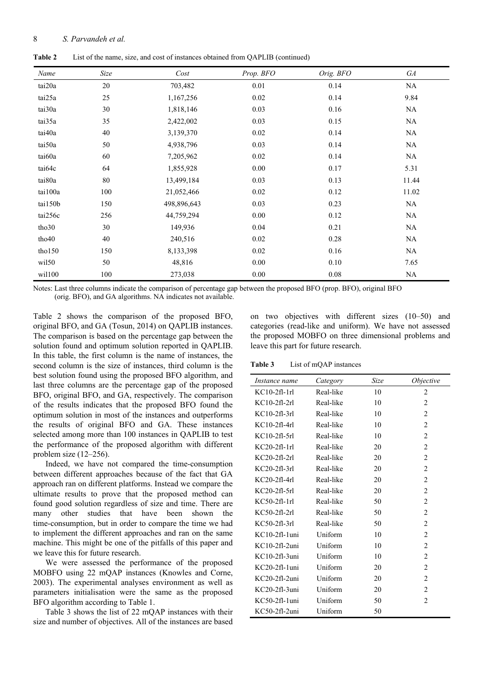| <b>Table 2</b> | List of the name, size, and cost of instances obtained from QAPLIB (continued) |  |  |  |  |  |
|----------------|--------------------------------------------------------------------------------|--|--|--|--|--|
|----------------|--------------------------------------------------------------------------------|--|--|--|--|--|

| Name    | Size | Cost        | Prop. BFO | Orig. BFO | GA        |
|---------|------|-------------|-----------|-----------|-----------|
| tai20a  | 20   | 703,482     | $0.01\,$  | 0.14      | $\rm NA$  |
| tai25a  | 25   | 1,167,256   | 0.02      | 0.14      | 9.84      |
| tai30a  | 30   | 1,818,146   | 0.03      | $0.16\,$  | <b>NA</b> |
| tai35a  | 35   | 2,422,002   | 0.03      | 0.15      | NA        |
| tai40a  | 40   | 3,139,370   | 0.02      | 0.14      | $\rm NA$  |
| tai50a  | 50   | 4,938,796   | 0.03      | 0.14      | NA        |
| tai60a  | 60   | 7,205,962   | 0.02      | 0.14      | <b>NA</b> |
| tai64c  | 64   | 1,855,928   | 0.00      | 0.17      | 5.31      |
| tai80a  | 80   | 13,499,184  | 0.03      | 0.13      | 11.44     |
| tai100a | 100  | 21,052,466  | 0.02      | 0.12      | 11.02     |
| tai150b | 150  | 498,896,643 | 0.03      | 0.23      | <b>NA</b> |
| tai256c | 256  | 44,759,294  | 0.00      | 0.12      | NA        |
| tho30   | 30   | 149,936     | 0.04      | 0.21      | <b>NA</b> |
| tho40   | 40   | 240,516     | 0.02      | 0.28      | NA        |
| tho150  | 150  | 8,133,398   | 0.02      | $0.16\,$  | $\rm NA$  |
| wil50   | 50   | 48,816      | 0.00      | $0.10\,$  | 7.65      |
| wil100  | 100  | 273,038     | 0.00      | $0.08\,$  | $\rm NA$  |

Notes: Last three columns indicate the comparison of percentage gap between the proposed BFO (prop. BFO), original BFO (orig. BFO), and GA algorithms. NA indicates not available.

Table 2 shows the comparison of the proposed BFO, original BFO, and GA (Tosun, 2014) on QAPLIB instances. The comparison is based on the percentage gap between the solution found and optimum solution reported in QAPLIB. In this table, the first column is the name of instances, the second column is the size of instances, third column is the best solution found using the proposed BFO algorithm, and last three columns are the percentage gap of the proposed BFO, original BFO, and GA, respectively. The comparison of the results indicates that the proposed BFO found the optimum solution in most of the instances and outperforms the results of original BFO and GA. These instances selected among more than 100 instances in QAPLIB to test the performance of the proposed algorithm with different problem size (12–256).

Indeed, we have not compared the time-consumption between different approaches because of the fact that GA approach ran on different platforms. Instead we compare the ultimate results to prove that the proposed method can found good solution regardless of size and time. There are many other studies that have been shown the time-consumption, but in order to compare the time we had to implement the different approaches and ran on the same machine. This might be one of the pitfalls of this paper and we leave this for future research.

We were assessed the performance of the proposed MOBFO using 22 mQAP instances (Knowles and Corne, 2003). The experimental analyses environment as well as parameters initialisation were the same as the proposed BFO algorithm according to Table 1.

Table 3 shows the list of 22 mQAP instances with their size and number of objectives. All of the instances are based on two objectives with different sizes (10–50) and categories (read-like and uniform). We have not assessed the proposed MOBFO on three dimensional problems and leave this part for future research.

**Table 3** List of mQAP instances

| Instance name   | Category  | Size | <i>Objective</i> |
|-----------------|-----------|------|------------------|
| $KCl$ 0-2fl-1rl | Real-like | 10   | 2                |
| $KCl$ 0-2fl-2rl | Real-like | 10   | $\overline{2}$   |
| $KCl$ 0-2fl-3rl | Real-like | 10   | $\overline{2}$   |
| $KCl$ 0-2fl-4rl | Real-like | 10   | $\overline{2}$   |
| $KCl0-2fl-5rl$  | Real-like | 10   | $\overline{2}$   |
| $KC20-2fl-1rl$  | Real-like | 20   | $\overline{2}$   |
| $KC20-2fl-2rl$  | Real-like | 20   | $\overline{2}$   |
| $KC20-2f1-3r1$  | Real-like | 20   | $\overline{c}$   |
| $KC20-2fl-4rl$  | Real-like | 20   | $\overline{2}$   |
| $KC20-2fl-5rl$  | Real-like | 20   | $\overline{2}$   |
| $KC50-2f1-1r1$  | Real-like | 50   | $\overline{2}$   |
| $KC50-2fl-2rl$  | Real-like | 50   | $\overline{2}$   |
| KC50-2fl-3rl    | Real-like | 50   | $\overline{2}$   |
| $KC10-2fl-luni$ | Uniform   | 10   | $\overline{2}$   |
| $KC10-2fl-2uni$ | Uniform   | 10   | $\mathfrak{D}$   |
| KC10-2fl-3uni   | Uniform   | 10   | $\overline{2}$   |
| KC20-2fl-1uni   | Uniform   | 20   | $\overline{2}$   |
| KC20-2fl-2uni   | Uniform   | 20   | $\overline{2}$   |
| KC20-2fl-3uni   | Uniform   | 20   | $\overline{2}$   |
| KC50-2fl-1uni   | Uniform   | 50   | $\overline{2}$   |
| KC50-2fl-2uni   | Uniform   | 50   |                  |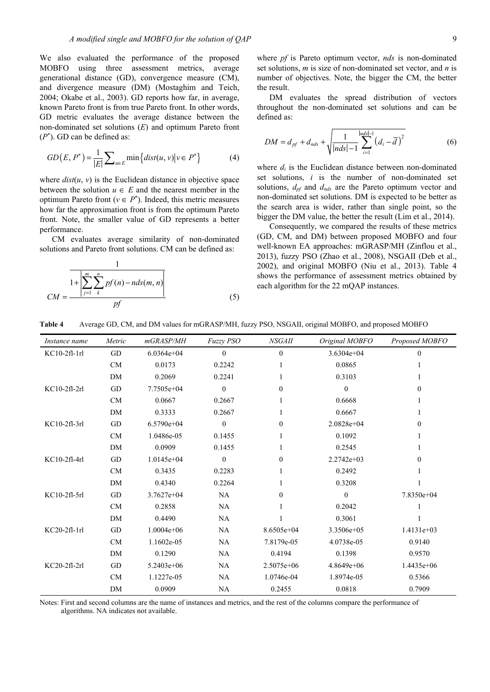We also evaluated the performance of the proposed MOBFO using three assessment metrics, average generational distance (GD), convergence measure (CM), and divergence measure (DM) (Mostaghim and Teich, 2004; Okabe et al., 2003). GD reports how far, in average, known Pareto front is from true Pareto front. In other words, GD metric evaluates the average distance between the non-dominated set solutions (*E*) and optimum Pareto front (*P*\* ). GD can be defined as:

$$
GD(E, P^*) = \frac{1}{|E|} \sum_{u \in E} \min \left\{ dist(u, v) \middle| v \in P^* \right\} \tag{4}
$$

where  $dist(u, v)$  is the Euclidean distance in objective space between the solution  $u \in E$  and the nearest member in the optimum Pareto front ( $v \in P^*$ ). Indeed, this metric measures how far the approximation front is from the optimum Pareto front. Note, the smaller value of GD represents a better performance.

CM evaluates average similarity of non-dominated solutions and Pareto front solutions. CM can be defined as:

$$
CM = \frac{1}{1 + \left| \sum_{j=1}^{m} \sum_{k=1}^{n} p f(n) - n d s(m, n) \right|} \tag{5}
$$

where *pf* is Pareto optimum vector, *nds* is non-dominated set solutions, *m* is size of non-dominated set vector, and *n* is number of objectives. Note, the bigger the CM, the better the result.

DM evaluates the spread distribution of vectors throughout the non-dominated set solutions and can be defined as:

$$
DM = d_{pf} + d_{nds} + \sqrt{\frac{1}{|nds| - 1} \sum_{i=1}^{|nds| - 1} (d_i - \overline{d})^2}
$$
 (6)

where  $d_i$  is the Euclidean distance between non-dominated set solutions, *i* is the number of non-dominated set solutions, *dpf* and *dnds* are the Pareto optimum vector and non-dominated set solutions. DM is expected to be better as the search area is wider, rather than single point, so the bigger the DM value, the better the result (Lim et al., 2014).

Consequently, we compared the results of these metrics (GD, CM, and DM) between proposed MOBFO and four well-known EA approaches: mGRASP/MH (Zinflou et al., 2013), fuzzy PSO (Zhao et al., 2008), NSGAII (Deb et al., 2002), and original MOBFO (Niu et al., 2013). Table 4 shows the performance of assessment metrics obtained by each algorithm for the 22 mQAP instances.

#### **Table 4** Average GD, CM, and DM values for mGRASP/MH, fuzzy PSO, NSGAII, original MOBFO, and proposed MOBFO

| Instance name  | Metric    | mGRASP/MH    | Fuzzy PSO      | <i>NSGAII</i> | Original MOBFO | Proposed MOBFO |
|----------------|-----------|--------------|----------------|---------------|----------------|----------------|
| $KC10-2fl-1rl$ | GD        | $6.0364e+04$ | 0              | $\mathbf{0}$  | $3.6304e+04$   | $\theta$       |
|                | CM        | 0.0173       | 0.2242         |               | 0.0865         |                |
|                | <b>DM</b> | 0.2069       | 0.2241         |               | 0.3103         |                |
| KC10-2fl-2rl   | GD        | $7.7505e+04$ | $\mathbf{0}$   | $\mathbf{0}$  | $\theta$       | $\Omega$       |
|                | CM        | 0.0667       | 0.2667         |               | 0.6668         |                |
|                | DM        | 0.3333       | 0.2667         |               | 0.6667         |                |
| KC10-2fl-3rl   | GD        | $6.5790e+04$ | $\mathbf{0}$   | $\theta$      | $2.0828e+04$   | $\theta$       |
|                | CM        | 1.0486e-05   | 0.1455         |               | 0.1092         |                |
|                | DM        | 0.0909       | 0.1455         |               | 0.2545         |                |
| KC10-2fl-4rl   | GD        | $1.0145e+04$ | $\overline{0}$ | $\theta$      | $2.2742e+03$   | $\theta$       |
|                | CM        | 0.3435       | 0.2283         |               | 0.2492         |                |
|                | DM        | 0.4340       | 0.2264         |               | 0.3208         |                |
| KC10-2fl-5rl   | GD        | $3.7627e+04$ | NA             | $\theta$      | $\mathbf{0}$   | 7.8350e+04     |
|                | CM        | 0.2858       | NA             |               | 0.2042         |                |
|                | DM        | 0.4490       | NA             |               | 0.3061         |                |
| $KC20-2fl-1rl$ | GD        | $1.0004e+06$ | NA             | 8.6505e+04    | $3.3506e+05$   | $1.4131e+03$   |
|                | CM        | 1.1602e-05   | NA             | 7.8179e-05    | 4.0738e-05     | 0.9140         |
|                | DM        | 0.1290       | NA             | 0.4194        | 0.1398         | 0.9570         |
| KC20-2fl-2rl   | GD        | 5.2403e+06   | NA             | 2.5075e+06    | $4.8649e+06$   | 1.4435e+06     |
|                | CM        | 1.1227e-05   | <b>NA</b>      | 1.0746e-04    | 1.8974e-05     | 0.5366         |
|                | DM        | 0.0909       | <b>NA</b>      | 0.2455        | 0.0818         | 0.7909         |

Notes: First and second columns are the name of instances and metrics, and the rest of the columns compare the performance of algorithms. NA indicates not available.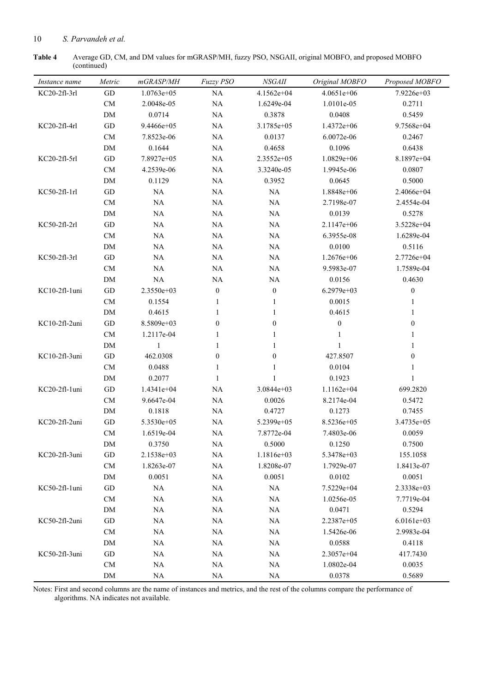## 10 *S. Parvandeh et al.*

**Table 4** Average GD, CM, and DM values for mGRASP/MH, fuzzy PSO, NSGAII, original MOBFO, and proposed MOBFO (continued)

| Instance name | Metric                     | mGRASP/MH    | Fuzzy PSO        | NSGAIL           | Original MOBFO   | Proposed MOBFO   |
|---------------|----------------------------|--------------|------------------|------------------|------------------|------------------|
| KC20-2fl-3rl  | GD                         | $1.0763e+05$ | NA               | 4.1562e+04       | $4.0651e+06$     | 7.9226e+03       |
|               | CM                         | 2.0048e-05   | NA               | 1.6249e-04       | 1.0101e-05       | 0.2711           |
|               | DM                         | 0.0714       | NA               | 0.3878           | 0.0408           | 0.5459           |
| KC20-2fl-4rl  | GD                         | 9.4466e+05   | $\rm NA$         | 3.1785e+05       | $1.4372e+06$     | 9.7568e+04       |
|               | <b>CM</b>                  | 7.8523e-06   | NA               | 0.0137           | 6.0072e-06       | 0.2467           |
|               | DM                         | 0.1644       | $\rm NA$         | 0.4658           | 0.1096           | 0.6438           |
| KC20-2fl-5rl  | $\operatorname{GD}$        | 7.8927e+05   | NA               | $2.3552e+05$     | 1.0829e+06       | 8.1897e+04       |
|               | CM                         | 4.2539e-06   | $\rm NA$         | 3.3240e-05       | 1.9945e-06       | 0.0807           |
|               | DM                         | 0.1129       | NA               | 0.3952           | 0.0645           | 0.5000           |
| KC50-2fl-1rl  | GD                         | NA           | NA               | $\rm NA$         | 1.8848e+06       | 2.4066e+04       |
|               | ${\rm CM}$                 | NA           | $\rm NA$         | $\rm NA$         | 2.7198e-07       | 2.4554e-04       |
|               | DM                         | NA           | NA               | $\rm NA$         | 0.0139           | 0.5278           |
| KC50-2fl-2rl  | GD                         | NA           | NA               | $\rm NA$         | $2.1147e+06$     | 3.5228e+04       |
|               | CM                         | NA           | NA               | $\rm NA$         | 6.3955e-08       | 1.6289e-04       |
|               | DM                         | <b>NA</b>    | NA               | $\rm NA$         | 0.0100           | 0.5116           |
| KC50-2fl-3rl  | $\operatorname{GD}$        | <b>NA</b>    | NA               | $\rm NA$         | $1.2676e+06$     | 2.7726e+04       |
|               | CM                         | NA           | $\rm NA$         | $\rm NA$         | 9.5983e-07       | 1.7589e-04       |
|               | DM                         | NA           | NA               | $\rm NA$         | 0.0156           | 0.4630           |
| KC10-2fl-1uni | $\operatorname{GD}$        | 2.3550e+03   | $\boldsymbol{0}$ | $\boldsymbol{0}$ | $6.2979e+03$     | $\boldsymbol{0}$ |
|               | CM                         | 0.1554       | $\mathbf{1}$     | $\mathbf{1}$     | 0.0015           | 1                |
|               | DM                         | 0.4615       | $\mathbf{1}$     | $\mathbf{1}$     | 0.4615           | $\mathbf{1}$     |
| KC10-2fl-2uni | GD                         | 8.5809e+03   | $\boldsymbol{0}$ | $\boldsymbol{0}$ | $\boldsymbol{0}$ | $\boldsymbol{0}$ |
|               | CM                         | 1.2117e-04   | 1                | 1                | $\mathbf{1}$     | 1                |
|               | DM                         | 1            | 1                | 1                | 1                | $\mathbf{1}$     |
| KC10-2fl-3uni | GD                         | 462.0308     | $\boldsymbol{0}$ | $\boldsymbol{0}$ | 427.8507         | $\boldsymbol{0}$ |
|               | CM                         | 0.0488       | $\mathbf{1}$     | $\mathbf{1}$     | 0.0104           | 1                |
|               | DM                         | 0.2077       | $\mathbf{1}$     | 1                | 0.1923           | $\mathbf{1}$     |
| KC20-2fl-1uni | $\operatorname{GD}$        | 1.4341e+04   | NA               | 3.0844e+03       | 1.1162e+04       | 699.2820         |
|               | CM                         | 9.6647e-04   | NA               | 0.0026           | 8.2174e-04       | 0.5472           |
|               | DM                         | 0.1818       | NA               | 0.4727           | 0.1273           | 0.7455           |
| KC20-2fl-2uni | $\operatorname{GD}$        | 5.3530e+05   | $\rm NA$         | 5.2399e+05       | 8.5236e+05       | 3.4735e+05       |
|               | CM                         | 1.6519e-04   | NA               | 7.8772e-04       | 7.4803e-06       | 0.0059           |
|               | ${\rm DM}$                 | 0.3750       | NA               | 0.5000           | 0.1250           | 0.7500           |
| KC20-2fl-3uni | $\operatorname{GD}$        | 2.1538e+03   | NA               | $1.1816e+03$     | 5.3478e+03       | 155.1058         |
|               | CM                         | 1.8263e-07   | NA               | 1.8208e-07       | 1.7929e-07       | 1.8413e-07       |
|               | DM                         | 0.0051       | NA               | 0.0051           | 0.0102           | 0.0051           |
| KC50-2fl-1uni | GD                         | NA           | NA               | NA               | 7.5229e+04       | 2.3338e+03       |
|               | CM                         | NA           | <b>NA</b>        | <b>NA</b>        | 1.0256e-05       | 7.7719e-04       |
|               | DM                         | NA           | NA               | <b>NA</b>        | 0.0471           | 0.5294           |
| KC50-2fl-2uni | GD                         | NA           | NA               | <b>NA</b>        | 2.2387e+05       | $6.0161e+03$     |
|               | <b>CM</b>                  | $\rm NA$     | NA               | $\rm NA$         | 1.5426e-06       | 2.9983e-04       |
|               | DM                         | NA           | NA               | NA               | 0.0588           | 0.4118           |
| KC50-2fl-3uni | GD                         | NA           | NA               | NA               | 2.3057e+04       | 417.7430         |
|               | $\ensuremath{\mathrm{CM}}$ | NA           | NA               | <b>NA</b>        | 1.0802e-04       | 0.0035           |
|               | ${\rm DM}$                 | NA           | <b>NA</b>        | $\rm NA$         | 0.0378           | 0.5689           |

Notes: First and second columns are the name of instances and metrics, and the rest of the columns compare the performance of algorithms. NA indicates not available.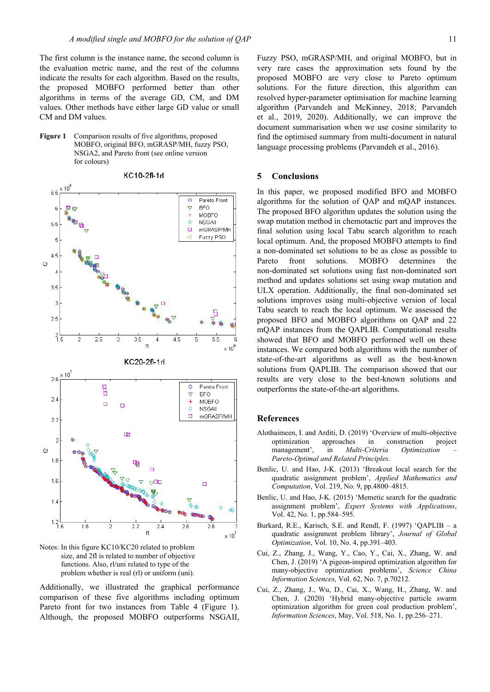The first column is the instance name, the second column is the evaluation metric name, and the rest of the columns indicate the results for each algorithm. Based on the results, the proposed MOBFO performed better than other algorithms in terms of the average GD, CM, and DM values. Other methods have either large GD value or small CM and DM values.



KC10-2fl-1rl

 $65$  $\circ$ Pareto Front  $\triangledown$ **BFO** t  $\overline{6}$ 厉  $\overline{+}$ MOBFO  $\Diamond$ **NSGAIL**  $5.5$ mGRASP/MH  $\Box$ k Fuzzy PSO 5  $\overline{4}$  $\triangleright$  $\lambda$ 3.5 3  $2.5$  $^{2}$  5  $\overline{2}$  $\overline{2.5}$  $\overline{3}$  $4.5$  $\overline{5}$  $5.5$ 3.5 Θ  $\times 10^6$ KC20-2fl-1rl  $10^{-1}$  $2.6$  $\overline{B}$  $\circ$ Pareto Front  $\triangledown$ **BFO**  $2.4$  $\overline{+}$ MOBFO  $\Box$  $\Box$  $\Diamond$ **NSGAIL**  $\Box$ mGRASP/MH  $2.2$  $\blacksquare$  $\overline{2}$  $\mathbf 2$  $1.8$ п  $1.6$  $\Box$  $1.4$ œ  $^{1.2}_{1.6}$  $1.8$  $\overline{2}$  $2.2$  $2.4$  $2.6$  $2.8$ R f1  $\times 10^7$ 

Notes: In this figure KC10/KC20 related to problem size, and 2fl is related to number of objective functions. Also, rl/uni related to type of the problem whether is real (rl) or uniform (uni).

Additionally, we illustrated the graphical performance comparison of these five algorithms including optimum Pareto front for two instances from Table 4 (Figure 1). Although, the proposed MOBFO outperforms NSGAII,

Fuzzy PSO, mGRASP/MH, and original MOBFO, but in very rare cases the approximation sets found by the proposed MOBFO are very close to Pareto optimum solutions. For the future direction, this algorithm can resolved hyper-parameter optimisation for machine learning algorithm (Parvandeh and McKinney, 2018; Parvandeh et al., 2019, 2020). Additionally, we can improve the document summarisation when we use cosine similarity to find the optimised summary from multi-document in natural language processing problems (Parvandeh et al., 2016).

## **5 Conclusions**

In this paper, we proposed modified BFO and MOBFO algorithms for the solution of QAP and mQAP instances. The proposed BFO algorithm updates the solution using the swap mutation method in chemotactic part and improves the final solution using local Tabu search algorithm to reach local optimum. And, the proposed MOBFO attempts to find a non-dominated set solutions to be as close as possible to Pareto front solutions. MOBFO determines the non-dominated set solutions using fast non-dominated sort method and updates solutions set using swap mutation and ULX operation. Additionally, the final non-dominated set solutions improves using multi-objective version of local Tabu search to reach the local optimum. We assessed the proposed BFO and MOBFO algorithms on QAP and 22 mQAP instances from the QAPLIB. Computational results showed that BFO and MOBFO performed well on these instances. We compared both algorithms with the number of state-of-the-art algorithms as well as the best-known solutions from QAPLIB. The comparison showed that our results are very close to the best-known solutions and outperforms the state-of-the-art algorithms.

#### **References**

- Alothaimeen, I. and Arditi, D. (2019) 'Overview of multi-objective optimization approaches in construction project management', in *Multi-Criteria Optimization Pareto-Optimal and Related Principles*.
- Benlic, U. and Hao, J-K. (2013) 'Breakout local search for the quadratic assignment problem', *Applied Mathematics and Computation*, Vol. 219, No. 9, pp.4800–4815.
- Benlic, U. and Hao, J-K. (2015) 'Memetic search for the quadratic assignment problem', *Expert Systems with Applications*, Vol. 42, No. 1, pp.584–595.
- Burkard, R.E., Karisch, S.E. and Rendl, F. (1997) 'QAPLIB a quadratic assignment problem library', *Journal of Global Optimization*, Vol. 10, No. 4, pp.391–403.
- Cui, Z., Zhang, J., Wang, Y., Cao, Y., Cai, X., Zhang, W. and Chen, J. (2019) 'A pigeon-inspired optimization algorithm for many-objective optimization problems', *Science China Information Sciences*, Vol. 62, No. 7, p.70212.
- Cui, Z., Zhang, J., Wu, D., Cai, X., Wang, H., Zhang, W. and Chen, J. (2020) 'Hybrid many-objective particle swarm optimization algorithm for green coal production problem', *Information Sciences*, May, Vol. 518, No. 1, pp.256–271.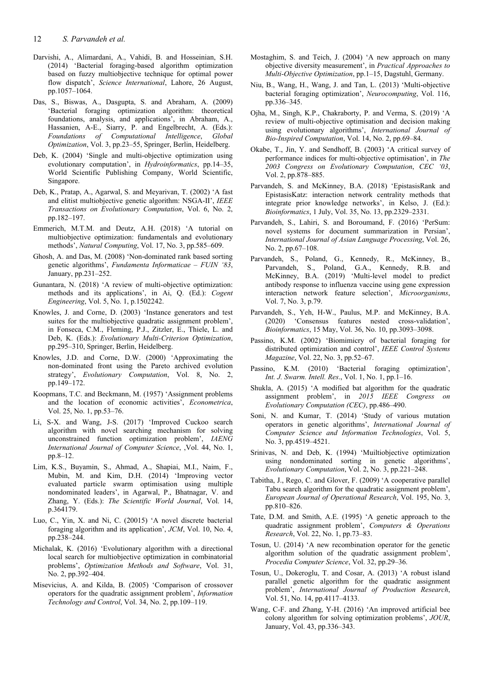- Darvishi, A., Alimardani, A., Vahidi, B. and Hosseinian, S.H. (2014) 'Bacterial foraging-based algorithm optimization based on fuzzy multiobjective technique for optimal power flow dispatch', *Science International*, Lahore, 26 August, pp.1057–1064.
- Das, S., Biswas, A., Dasgupta, S. and Abraham, A. (2009) 'Bacterial foraging optimization algorithm: theoretical foundations, analysis, and applications', in Abraham, A., Hassanien, A-E., Siarry, P. and Engelbrecht, A. (Eds.): *Foundations of Computational Intelligence*, *Global Optimization*, Vol. 3, pp.23–55, Springer, Berlin, Heidelberg.
- Deb, K. (2004) 'Single and multi-objective optimization using evolutionary computation', in *Hydroinformatics*, pp.14–35, World Scientific Publishing Company, World Scientific, Singapore.
- Deb, K., Pratap, A., Agarwal, S. and Meyarivan, T. (2002) 'A fast and elitist multiobjective genetic algorithm: NSGA-II', *IEEE Transactions on Evolutionary Computation*, Vol. 6, No. 2, pp.182–197.
- Emmerich, M.T.M. and Deutz, A.H. (2018) 'A tutorial on multiobjective optimization: fundamentals and evolutionary methods', *Natural Computing*, Vol. 17, No. 3, pp.585–609.
- Ghosh, A. and Das, M. (2008) 'Non-dominated rank based sorting genetic algorithms', *Fundamenta Informaticae – FUIN '83*, January, pp.231–252.
- Gunantara, N. (2018) 'A review of multi-objective optimization: methods and its applications', in Ai, Q. (Ed.): *Cogent Engineering*, Vol. 5, No. 1, p.1502242.
- Knowles, J. and Corne, D. (2003) 'Instance generators and test suites for the multiobjective quadratic assignment problem', in Fonseca, C.M., Fleming, P.J., Zitzler, E., Thiele, L. and Deb, K. (Eds.): *Evolutionary Multi-Criterion Optimization*, pp.295–310, Springer, Berlin, Heidelberg.
- Knowles, J.D. and Corne, D.W. (2000) 'Approximating the non-dominated front using the Pareto archived evolution strategy', *Evolutionary Computation*, Vol. 8, No. 2, pp.149–172.
- Koopmans, T.C. and Beckmann, M. (1957) 'Assignment problems and the location of economic activities', *Econometrica*, Vol. 25, No. 1, pp.53–76.
- Li, S-X. and Wang, J-S. (2017) 'Improved Cuckoo search algorithm with novel searching mechanism for solving unconstrained function optimization problem', *IAENG International Journal of Computer Science*, ,Vol. 44, No. 1, pp.8–12.
- Lim, K.S., Buyamin, S., Ahmad, A., Shapiai, M.I., Naim, F., Mubin, M. and Kim, D.H. (2014) 'Improving vector evaluated particle swarm optimisation using multiple nondominated leaders', in Agarwal, P., Bhatnagar, V. and Zhang, Y. (Eds.): *The Scientific World Journal*, Vol. 14, p.364179.
- Luo, C., Yin, X. and Ni, C. (20015) 'A novel discrete bacterial foraging algorithm and its application', *JCM*, Vol. 10, No. 4, pp.238–244.
- Michalak, K. (2016) 'Evolutionary algorithm with a directional local search for multiobjective optimization in combinatorial problems', *Optimization Methods and Software*, Vol. 31, No. 2, pp.392–404.
- Misevicius, A. and Kilda, B. (2005) 'Comparison of crossover operators for the quadratic assignment problem', *Information Technology and Control*, Vol. 34, No. 2, pp.109–119.
- Mostaghim, S. and Teich, J. (2004) 'A new approach on many objective diversity measurement', in *Practical Approaches to Multi-Objective Optimization*, pp.1–15, Dagstuhl, Germany.
- Niu, B., Wang, H., Wang, J. and Tan, L. (2013) 'Multi-objective bacterial foraging optimization', *Neurocomputing*, Vol. 116, pp.336–345.
- Ojha, M., Singh, K.P., Chakraborty, P. and Verma, S. (2019) 'A review of multi-objective optimisation and decision making using evolutionary algorithms', *International Journal of Bio-Inspired Computation*, Vol. 14, No. 2, pp.69–84.
- Okabe, T., Jin, Y. and Sendhoff, B. (2003) 'A critical survey of performance indices for multi-objective optimisation', in *The 2003 Congress on Evolutionary Computation*, *CEC '03*, Vol. 2, pp.878–885.
- Parvandeh, S. and McKinney, B.A. (2018) 'EpistasisRank and EpistasisKatz: interaction network centrality methods that integrate prior knowledge networks', in Kelso, J. (Ed.): *Bioinformatics*, 1 July, Vol. 35, No. 13, pp.2329–2331.
- Parvandeh, S., Lahiri, S. and Boroumand, F. (2016) 'PerSum: novel systems for document summarization in Persian', *International Journal of Asian Language Processing*, Vol. 26, No. 2, pp.67–108.
- Parvandeh, S., Poland, G., Kennedy, R., McKinney, B., Parvandeh, S., Poland, G.A., Kennedy, R.B. and McKinney, B.A. (2019) 'Multi-level model to predict antibody response to influenza vaccine using gene expression interaction network feature selection', *Microorganisms*, Vol. 7, No. 3, p.79.
- Parvandeh, S., Yeh, H-W., Paulus, M.P. and McKinney, B.A. (2020) 'Consensus features nested cross-validation', *Bioinformatics*, 15 May, Vol. 36, No. 10, pp.3093–3098.
- Passino, K.M. (2002) 'Biomimicry of bacterial foraging for distributed optimization and control', *IEEE Control Systems Magazine*, Vol. 22, No. 3, pp.52–67.
- Passino, K.M. (2010) 'Bacterial foraging optimization', *Int. J. Swarm. Intell. Res*., Vol. 1, No. 1, pp.1–16.
- Shukla, A. (2015) 'A modified bat algorithm for the quadratic assignment problem', in *2015 IEEE Congress on Evolutionary Computation (CEC)*, pp.486–490.
- Soni, N. and Kumar, T. (2014) 'Study of various mutation operators in genetic algorithms', *International Journal of Computer Science and Information Technologies*, Vol. 5, No. 3, pp.4519–4521.
- Srinivas, N. and Deb, K. (1994) 'Muiltiobjective optimization using nondominated sorting in genetic algorithms', *Evolutionary Computation*, Vol. 2, No. 3, pp.221–248.
- Tabitha, J., Rego, C. and Glover, F. (2009) 'A cooperative parallel Tabu search algorithm for the quadratic assignment problem', *European Journal of Operational Research*, Vol. 195, No. 3, pp.810–826.
- Tate, D.M. and Smith, A.E. (1995) 'A genetic approach to the quadratic assignment problem', *Computers & Operations Research*, Vol. 22, No. 1, pp.73–83.
- Tosun, U. (2014) 'A new recombination operator for the genetic algorithm solution of the quadratic assignment problem', *Procedia Computer Science*, Vol. 32, pp.29–36.
- Tosun, U., Dokeroglu, T. and Cosar, A. (2013) 'A robust island parallel genetic algorithm for the quadratic assignment problem', *International Journal of Production Research*, Vol. 51, No. 14, pp.4117–4133.
- Wang, C-F. and Zhang, Y-H. (2016) 'An improved artificial bee colony algorithm for solving optimization problems', *JOUR*, January, Vol. 43, pp.336–343.